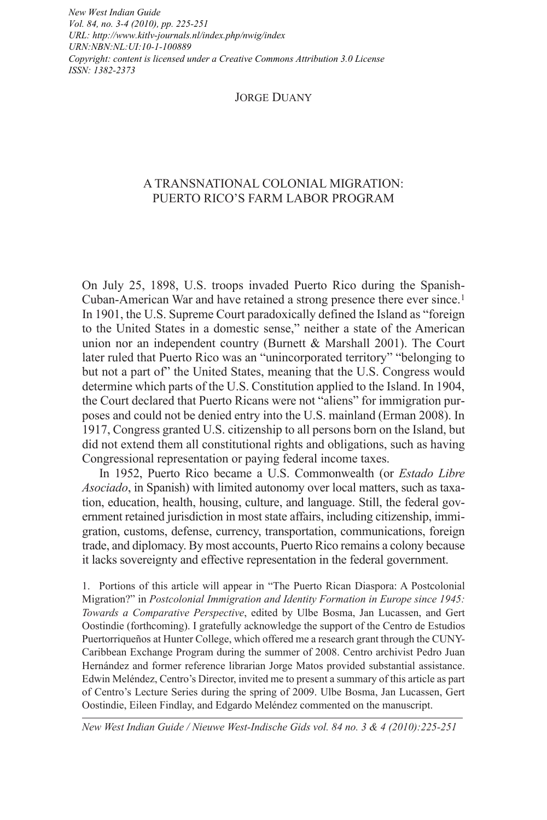*New West Indian Guide Vol. 84, no. 3-4 (2010), pp. 225-251 URL: http://www.kitlv-journals.nl/index.php/nwig/index URN:NBN:NL:UI:10-1-100889 Copyright: content is licensed under a Creative Commons Attribution 3.0 License ISSN: 1382-2373*

**JORGE DUANY** 

# A TRANSNATIONAL COLONIAL MIGRATION: PUERTO RICO'S FARM LABOR PROGRAM

On July 25, 1898, U.S. troops invaded Puerto Rico during the Spanish-Cuban-American War and have retained a strong presence there ever since.<sup>1</sup> In 1901, the U.S. Supreme Court paradoxically defined the Island as "foreign" to the United States in a domestic sense," neither a state of the American union nor an independent country (Burnett & Marshall 2001). The Court later ruled that Puerto Rico was an "unincorporated territory" "belonging to" but not a part of" the United States, meaning that the U.S. Congress would determine which parts of the U.S. Constitution applied to the Island. In 1904, the Court declared that Puerto Ricans were not "aliens" for immigration purposes and could not be denied entry into the U.S. mainland (Erman 2008). In 1917, Congress granted U.S. citizenship to all persons born on the Island, but did not extend them all constitutional rights and obligations, such as having Congressional representation or paying federal income taxes.

In 1952, Puerto Rico became a U.S. Commonwealth (or *Estado Libre Asociado*, in Spanish) with limited autonomy over local matters, such as taxation, education, health, housing, culture, and language. Still, the federal government retained jurisdiction in most state affairs, including citizenship, immigration, customs, defense, currency, transportation, communications, foreign trade, and diplomacy. By most accounts, Puerto Rico remains a colony because it lacks sovereignty and effective representation in the federal government.

1. Portions of this article will appear in "The Puerto Rican Diaspora: A Postcolonial Migration?" in *Postcolonial Immigration and Identity Formation in Europe since 1945: Towards a Comparative Perspective*, edited by Ulbe Bosma, Jan Lucassen, and Gert Oostindie (forthcoming). I gratefully acknowledge the support of the Centro de Estudios Puertorriqueños at Hunter College, which offered me a research grant through the CUNY-Caribbean Exchange Program during the summer of 2008. Centro archivist Pedro Juan Hernández and former reference librarian Jorge Matos provided substantial assistance. Edwin Meléndez, Centro's Director, invited me to present a summary of this article as part of Centro's Lecture Series during the spring of 2009. Ulbe Bosma, Jan Lucassen, Gert Oostindie, Eileen Findlay, and Edgardo Meléndez commented on the manuscript.

*New West Indian Guide / Nieuwe West-Indische Gids vol. 84 no. 3 & 4 (2010):225-251*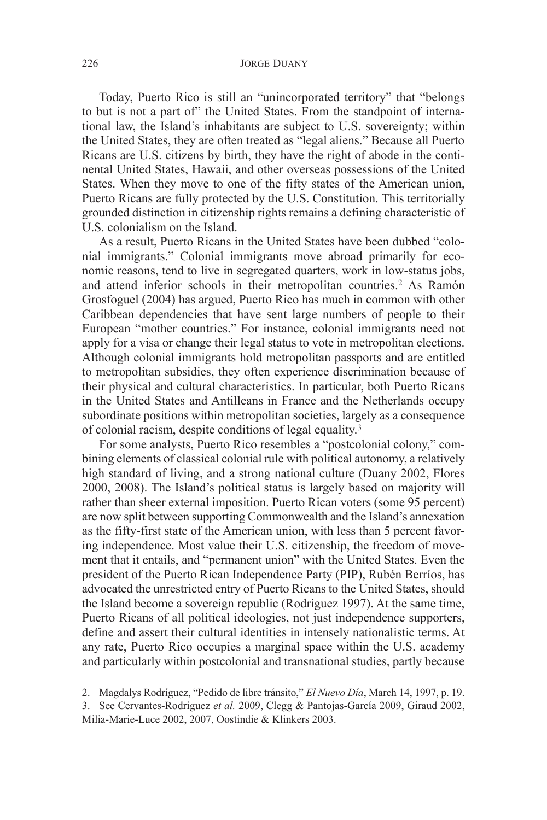Today, Puerto Rico is still an "unincorporated territory" that "belongs" to but is not a part of" the United States. From the standpoint of international law, the Island's inhabitants are subject to U.S. sovereignty; within the United States, they are often treated as "legal aliens." Because all Puerto Ricans are U.S. citizens by birth, they have the right of abode in the continental United States, Hawaii, and other overseas possessions of the United States. When they move to one of the fifty states of the American union, Puerto Ricans are fully protected by the U.S. Constitution. This territorially grounded distinction in citizenship rights remains a defining characteristic of U.S. colonialism on the Island.

As a result, Puerto Ricans in the United States have been dubbed "colonial immigrants." Colonial immigrants move abroad primarily for economic reasons, tend to live in segregated quarters, work in low-status jobs, and attend inferior schools in their metropolitan countries.<sup>2</sup> As Ramón Grosfoguel (2004) has argued, Puerto Rico has much in common with other Caribbean dependencies that have sent large numbers of people to their European "mother countries." For instance, colonial immigrants need not apply for a visa or change their legal status to vote in metropolitan elections. Although colonial immigrants hold metropolitan passports and are entitled to metropolitan subsidies, they often experience discrimination because of their physical and cultural characteristics. In particular, both Puerto Ricans in the United States and Antilleans in France and the Netherlands occupy subordinate positions within metropolitan societies, largely as a consequence of colonial racism, despite conditions of legal equality.<sup>3</sup>

For some analysts, Puerto Rico resembles a "postcolonial colony," combining elements of classical colonial rule with political autonomy, a relatively high standard of living, and a strong national culture (Duany 2002, Flores" 2000, 2008). The Island's political status is largely based on majority will rather than sheer external imposition. Puerto Rican voters (some 95 percent) are now split between supporting Commonwealth and the Island's annexation as the fifty-first state of the American union, with less than 5 percent favoring independence. Most value their U.S. citizenship, the freedom of movement that it entails, and "permanent union" with the United States. Even the president of the Puerto Rican Independence Party (PIP), Rubén Berríos, has advocated the unrestricted entry of Puerto Ricans to the United States, should the Island become a sovereign republic (Rodríguez 1997). At the same time, Puerto Ricans of all political ideologies, not just independence supporters, define and assert their cultural identities in intensely nationalistic terms. At any rate, Puerto Rico occupies a marginal space within the U.S. academy and particularly within postcolonial and transnational studies, partly because

2. Magdalys Rodríguez, "Pedido de libre tránsito," *El Nuevo Día*, March 14, 1997, p. 19.

3. See Cervantes-Rodríguez et al. 2009, Clegg & Pantojas-García 2009, Giraud 2002, Milia-Marie-Luce 2002, 2007, Oostindie & Klinkers 2003.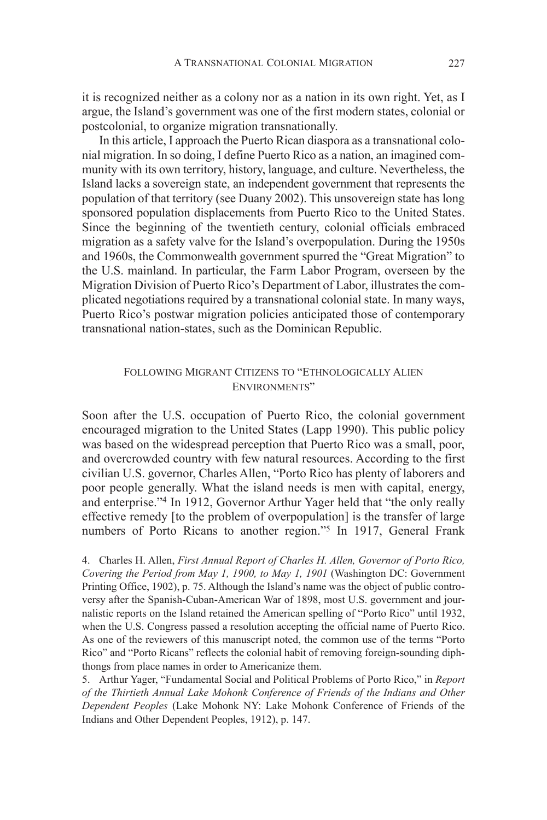it is recognized neither as a colony nor as a nation in its own right. Yet, as I argue, the Island's government was one of the first modern states, colonial or postcolonial, to organize migration transnationally.

In this article, I approach the Puerto Rican diaspora as a transnational colonial migration. In so doing, I define Puerto Rico as a nation, an imagined community with its own territory, history, language, and culture. Nevertheless, the Island lacks a sovereign state, an independent government that represents the population of that territory (see Duany 2002). This unsovereign state has long sponsored population displacements from Puerto Rico to the United States. Since the beginning of the twentieth century, colonial officials embraced migration as a safety valve for the Island's overpopulation. During the 1950s and 1960s, the Commonwealth government spurred the "Great Migration" to the U.S. mainland. In particular, the Farm Labor Program, overseen by the Migration Division of Puerto Rico's Department of Labor, illustrates the complicated negotiations required by a transnational colonial state. In many ways, Puerto Rico's postwar migration policies anticipated those of contemporary transnational nation-states, such as the Dominican Republic.

### FOLLOWING MIGRANT CITIZENS TO "ETHNOLOGICALLY ALIEN ENVIRONMENTS"

Soon after the U.S. occupation of Puerto Rico, the colonial government encouraged migration to the United States (Lapp 1990). This public policy was based on the widespread perception that Puerto Rico was a small, poor, and overcrowded country with few natural resources. According to the first civilian U.S. governor, Charles Allen, "Porto Rico has plenty of laborers and poor people generally. What the island needs is men with capital, energy, and enterprise."<sup>4</sup> In 1912, Governor Arthur Yager held that "the only really effective remedy [to the problem of overpopulation] is the transfer of large numbers of Porto Ricans to another region."<sup>5</sup> In 1917, General Frank

4. Charles H. Allen, *First Annual Report of Charles H. Allen, Governor of Porto Rico, Covering the Period from May 1, 1900, to May 1, 1901* (Washington DC: Government" Printing Office, 1902), p. 75. Although the Island's name was the object of public controversy after the Spanish-Cuban-American War of 1898, most U.S. government and journalistic reports on the Island retained the American spelling of "Porto Rico" until 1932, when the U.S. Congress passed a resolution accepting the official name of Puerto Rico. As one of the reviewers of this manuscript noted, the common use of the terms "Porto" Rico" and "Porto Ricans" reflects the colonial habit of removing foreign-sounding diphthongs from place names in order to Americanize them.

5. Arthur Yager, "Fundamental Social and Political Problems of Porto Rico," in *Report* of the Thirtieth Annual Lake Mohonk Conference of Friends of the Indians and Other Dependent Peoples (Lake Mohonk NY: Lake Mohonk Conference of Friends of the Indians and Other Dependent Peoples, 1912), p. 147.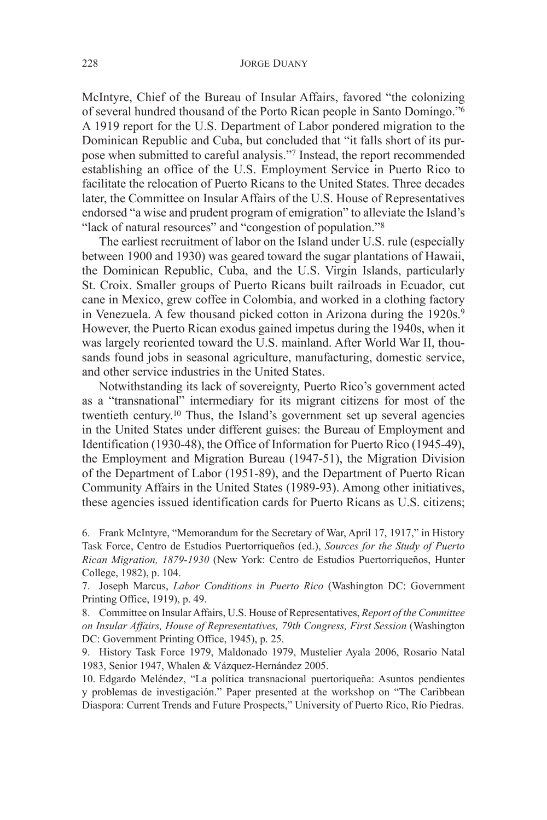McIntyre, Chief of the Bureau of Insular Affairs, favored "the colonizing" of several hundred thousand of the Porto Rican people in Santo Domingo."<sup>6</sup> A 1919 report for the U.S. Department of Labor pondered migration to the Dominican Republic and Cuba, but concluded that "it falls short of its purpose when submitted to careful analysis."7 Instead, the report recommended establishing an office of the U.S. Employment Service in Puerto Rico to facilitate the relocation of Puerto Ricans to the United States. Three decades later, the Committee on Insular Affairs of the U.S. House of Representatives endorsed "a wise and prudent program of emigration" to alleviate the Island's "lack of natural resources" and "congestion of population."<sup>8</sup>

The earliest recruitment of labor on the Island under U.S. rule (especially between 1900 and 1930) was geared toward the sugar plantations of Hawaii, the Dominican Republic, Cuba, and the U.S. Virgin Islands, particularly St. Croix. Smaller groups of Puerto Ricans built railroads in Ecuador, cut cane in Mexico, grew coffee in Colombia, and worked in a clothing factory in Venezuela. A few thousand picked cotton in Arizona during the 1920s.<sup>9</sup> However, the Puerto Rican exodus gained impetus during the 1940s, when it was largely reoriented toward the U.S. mainland. After World War II, thousands found jobs in seasonal agriculture, manufacturing, domestic service, and other service industries in the United States.

Notwithstanding its lack of sovereignty, Puerto Rico's government acted as a "transnational" intermediary for its migrant citizens for most of the twentieth century.<sup>10</sup> Thus, the Island's government set up several agencies in the United States under different guises: the Bureau of Employment and Identification (1930-48), the Office of Information for Puerto Rico (1945-49), the Employment and Migration Bureau (1947-51), the Migration Division of the Department of Labor (1951-89), and the Department of Puerto Rican Community Affairs in the United States (1989-93). Among other initiatives, these agencies issued identification cards for Puerto Ricans as U.S. citizens;

10. Edgardo Meléndez, "La política transnacional puertoriqueña: Asuntos pendientes y problemas de investigación." Paper presented at the workshop on "The Caribbean" Diaspora: Current Trends and Future Prospects," University of Puerto Rico, Río Piedras.

<sup>6.</sup> Frank McIntyre, "Memorandum for the Secretary of War, April 17, 1917," in History Task Force, Centro de Estudios Puertorriqueños (ed.), *Sources for the Study of Puerto Rican Migration, 1879-1930* (New York: Centro de Estudios Puertorriqueños, Hunter College, 1982), p. 104.

<sup>7.</sup> Joseph Marcus, *Labor Conditions in Puerto Rico* (Washington DC: Government Printing Office, 1919), p. 49.

<sup>8.</sup> Committee on Insular Affairs, U.S. House of Representatives, *Report of the Committee on\$Insular\$Affairs,\$House\$of\$Representatives,\$79th\$Congress,\$First\$Session*"(Washington" DC: Government Printing Office, 1945), p. 25.

<sup>9.</sup> History Task Force 1979, Maldonado 1979, Mustelier Ayala 2006, Rosario Natal 1983, Senior 1947, Whalen & Vázquez-Hernández 2005.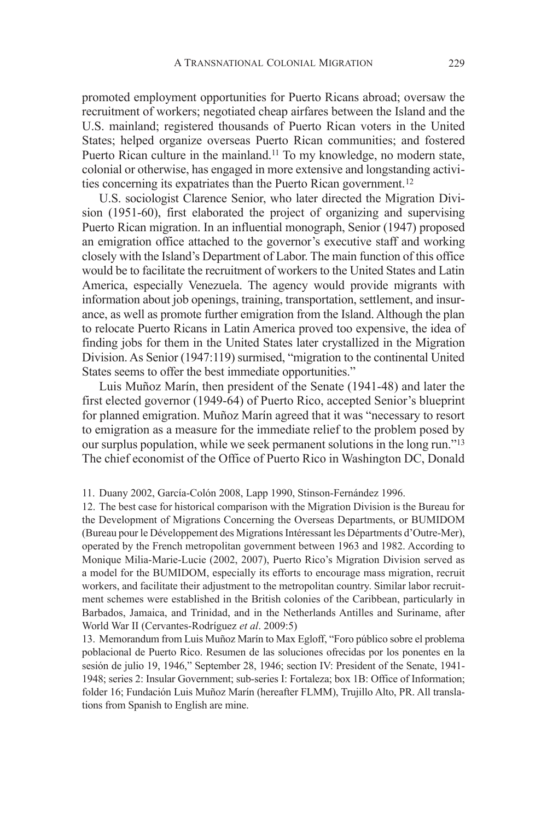promoted employment opportunities for Puerto Ricans abroad; oversaw the recruitment of workers; negotiated cheap airfares between the Island and the U.S. mainland; registered thousands of Puerto Rican voters in the United States; helped organize overseas Puerto Rican communities; and fostered Puerto Rican culture in the mainland.<sup>11</sup> To my knowledge, no modern state, colonial or otherwise, has engaged in more extensive and longstanding activities concerning its expatriates than the Puerto Rican government.<sup>12</sup>

U.S. sociologist Clarence Senior, who later directed the Migration Divi $sion$  (1951-60), first elaborated the project of organizing and supervising Puerto Rican migration. In an influential monograph, Senior (1947) proposed an emigration office attached to the governor's executive staff and working closely with the Island's Department of Labor. The main function of this office would be to facilitate the recruitment of workers to the United States and Latin America, especially Venezuela. The agency would provide migrants with information about job openings, training, transportation, settlement, and insurance, as well as promote further emigration from the Island. Although the plan to relocate Puerto Ricans in Latin America proved too expensive, the idea of finding jobs for them in the United States later crystallized in the Migration Division. As Senior (1947:119) surmised, "migration to the continental United" States seems to offer the best immediate opportunities."

Luis Muñoz Marín, then president of the Senate (1941-48) and later the first elected governor (1949-64) of Puerto Rico, accepted Senior's blueprint for planned emigration. Muñoz Marín agreed that it was "necessary to resort to emigration as a measure for the immediate relief to the problem posed by our surplus population, while we seek permanent solutions in the long run."<sup>13</sup> The chief economist of the Office of Puerto Rico in Washington DC, Donald

#### 11. Duany 2002, García-Colón 2008, Lapp 1990, Stinson-Fernández 1996.

12. The best case for historical comparison with the Migration Division is the Bureau for the Development of Migrations Concerning the Overseas Departments, or BUMIDOM (Bureau pour le Développement des Migrations Intéressant les Départments d'Outre-Mer), operated by the French metropolitan government between 1963 and 1982. According to Monique Milia-Marie-Lucie (2002, 2007), Puerto Rico's Migration Division served as a model for the BUMIDOM, especially its efforts to encourage mass migration, recruit workers, and facilitate their adjustment to the metropolitan country. Similar labor recruitment schemes were established in the British colonies of the Caribbean, particularly in Barbados, Jamaica, and Trinidad, and in the Netherlands Antilles and Suriname, after World War II (Cervantes-Rodríguez et al. 2009:5)

13. Memorandum from Luis Muñoz Marín to Max Egloff, "Foro público sobre el problema poblacional de Puerto Rico. Resumen de las soluciones ofrecidas por los ponentes en la sesión de julio 19, 1946," September 28, 1946; section IV: President of the Senate, 1941-1948; series 2: Insular Government; sub-series I: Fortaleza; box 1B: Office of Information; folder 16; Fundación Luis Muñoz Marín (hereafter FLMM), Trujillo Alto, PR. All translations from Spanish to English are mine.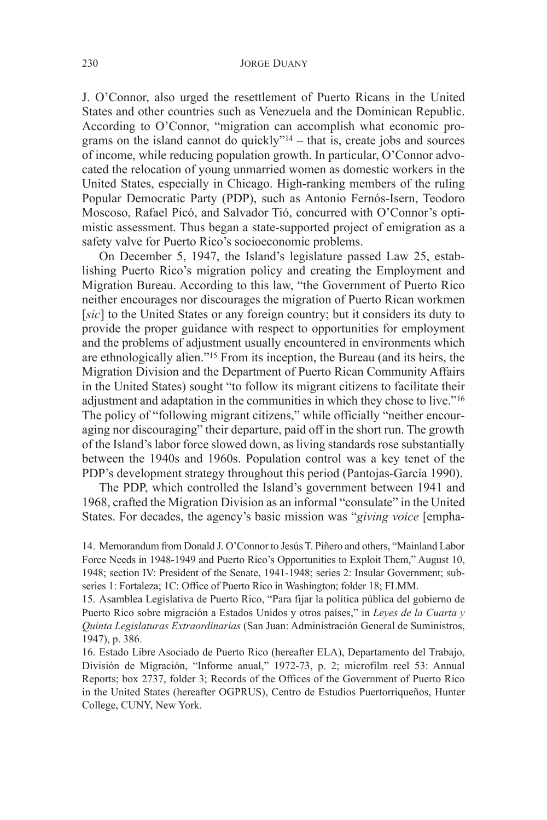J. O'Connor, also urged the resettlement of Puerto Ricans in the United" States and other countries such as Venezuela and the Dominican Republic. According to O'Connor, "migration can accomplish what economic programs on the island cannot do quickly $"^{14}$  – that is, create jobs and sources of income, while reducing population growth. In particular, O'Connor advocated the relocation of young unmarried women as domestic workers in the United States, especially in Chicago. High-ranking members of the ruling Popular Democratic Party (PDP), such as Antonio Fernós-Isern, Teodoro Moscoso, Rafael Picó, and Salvador Tió, concurred with O'Connor's optimistic assessment. Thus began a state-supported project of emigration as a safety valve for Puerto Rico's socioeconomic problems.

On December 5, 1947, the Island's legislature passed Law 25, establishing Puerto Rico's migration policy and creating the Employment and Migration Bureau. According to this law, "the Government of Puerto Rico" neither encourages nor discourages the migration of Puerto Rican workmen" [sic] to the United States or any foreign country; but it considers its duty to provide the proper guidance with respect to opportunities for employment and the problems of adjustment usually encountered in environments which are ethnologically alien."<sup>15</sup> From its inception, the Bureau (and its heirs, the Migration Division and the Department of Puerto Rican Community Affairs in the United States) sought "to follow its migrant citizens to facilitate their adjustment and adaptation in the communities in which they chose to live."<sup>16</sup> The policy of "following migrant citizens," while officially "neither encouraging nor discouraging" their departure, paid off in the short run. The growth of the Island's labor force slowed down, as living standards rose substantially between the 1940s and 1960s. Population control was a key tenet of the PDP's development strategy throughout this period (Pantojas-García 1990).

The PDP, which controlled the Island's government between 1941 and 1968, crafted the Migration Division as an informal "consulate" in the United" States. For decades, the agency's basic mission was "*giving voice* [empha-

14. Memorandum from Donald J. O'Connor to Jesús T. Piñero and others, "Mainland Labor" Force Needs in 1948-1949 and Puerto Rico's Opportunities to Exploit Them," August 10, 1948; section IV: President of the Senate, 1941-1948; series 2: Insular Government; subseries 1: Fortaleza; 1C: Office of Puerto Rico in Washington; folder 18; FLMM.

15. Asamblea Legislativa de Puerto Rico, "Para fijar la política pública del gobierno de Puerto Rico sobre migración a Estados Unidos y otros países," in *Leyes de la Cuarta y Quinta\$Legislaturas\$Extraordinarias*"(San"Juan:"Administración"General"de"Suministros," 1947), p. 386.

16. Estado Libre Asociado de Puerto Rico (hereafter ELA), Departamento del Trabajo, División de Migración, "Informe anual," 1972-73, p. 2; microfilm reel 53: Annual Reports; box 2737, folder 3; Records of the Offices of the Government of Puerto Rico in the United States (hereafter OGPRUS), Centro de Estudios Puertorriqueños, Hunter College, CUNY, New York.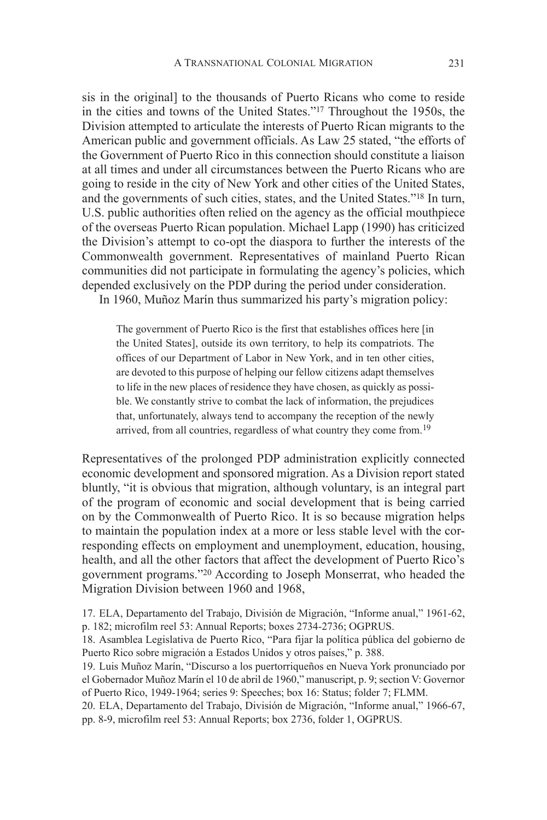sis in the original] to the thousands of Puerto Ricans who come to reside in the cities and towns of the United States."<sup>17</sup> Throughout the 1950s, the Division attempted to articulate the interests of Puerto Rican migrants to the American public and government officials. As Law 25 stated, "the efforts of the Government of Puerto Rico in this connection should constitute a liaison at all times and under all circumstances between the Puerto Ricans who are going to reside in the city of New York and other cities of the United States, and the governments of such cities, states, and the United States."<sup>18</sup> In turn, U.S. public authorities often relied on the agency as the official mouthpiece of the overseas Puerto Rican population. Michael Lapp (1990) has criticized the Division's attempt to co-opt the diaspora to further the interests of the Commonwealth government. Representatives of mainland Puerto Rican communities did not participate in formulating the agency's policies, which depended exclusively on the PDP during the period under consideration.

In 1960, Muñoz Marín thus summarized his party's migration policy:

The government of Puerto Rico is the first that establishes offices here [in the United States], outside its own territory, to help its compatriots. The offices of our Department of Labor in New York, and in ten other cities, are devoted to this purpose of helping our fellow citizens adapt themselves to life in the new places of residence they have chosen, as quickly as possible. We constantly strive to combat the lack of information, the prejudices that, unfortunately, always tend to accompany the reception of the newly arrived, from all countries, regardless of what country they come from.<sup>19</sup>

Representatives of the prolonged PDP administration explicitly connected economic development and sponsored migration. As a Division report stated bluntly, "it is obvious that migration, although voluntary, is an integral part of the program of economic and social development that is being carried on by the Commonwealth of Puerto Rico. It is so because migration helps to maintain the population index at a more or less stable level with the corresponding effects on employment and unemployment, education, housing, health, and all the other factors that affect the development of Puerto Rico's government programs."<sup>20</sup> According to Joseph Monserrat, who headed the Migration Division between 1960 and 1968,

17. ELA, Departamento del Trabajo, División de Migración, "Informe anual," 1961-62, p. 182; microfilm reel 53: Annual Reports; boxes 2734-2736; OGPRUS.

20. ELA, Departamento del Trabajo, División de Migración, "Informe anual," 1966-67, pp. 8-9, microfilm reel 53: Annual Reports; box 2736, folder 1, OGPRUS.

<sup>18.</sup> Asamblea Legislativa de Puerto Rico, "Para fijar la política pública del gobierno de Puerto Rico sobre migración a Estados Unidos y otros países," p. 388.

<sup>19.</sup> Luis Muñoz Marín, "Discurso a los puertorriqueños en Nueva York pronunciado por el Gobernador Muñoz Marín el 10 de abril de 1960," manuscript, p. 9; section V: Governor of Puerto Rico, 1949-1964; series 9: Speeches; box 16: Status; folder 7; FLMM.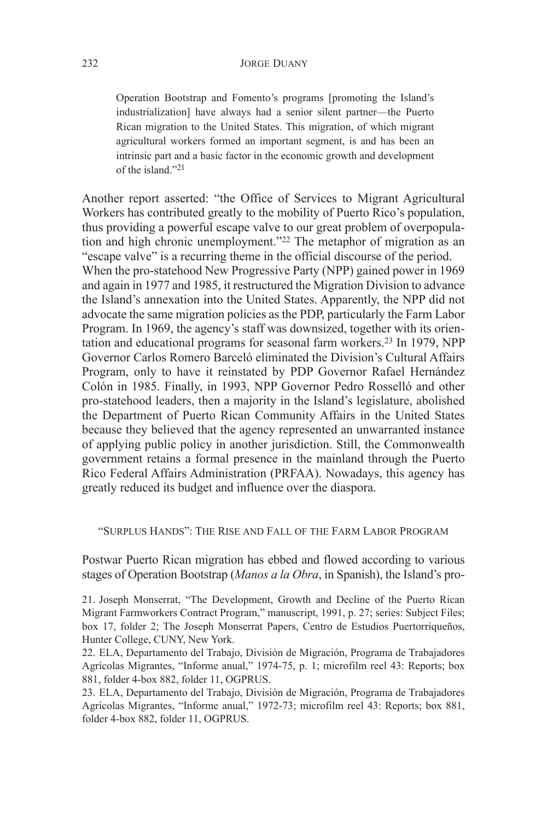Operation Bootstrap and Fomento's programs [promoting the Island's" industrialization] have always had a senior silent partner—the Puerto Rican migration to the United States. This migration, of which migrant agricultural workers formed an important segment, is and has been an intrinsic part and a basic factor in the economic growth and development of the island  $"21$ 

Another report asserted: "the Office of Services to Migrant Agricultural" Workers has contributed greatly to the mobility of Puerto Rico's population, thus providing a powerful escape valve to our great problem of overpopulation and high chronic unemployment."<sup>22</sup> The metaphor of migration as an "escape valve" is a recurring theme in the official discourse of the period. When the pro-statehood New Progressive Party (NPP) gained power in 1969 and again in 1977 and 1985, it restructured the Migration Division to advance the Island's annexation into the United States. Apparently, the NPP did not advocate the same migration policies as the PDP, particularly the Farm Labor Program. In 1969, the agency's staff was downsized, together with its orientation and educational programs for seasonal farm workers.<sup>23</sup> In 1979, NPP Governor Carlos Romero Barceló eliminated the Division's Cultural Affairs Program, only to have it reinstated by PDP Governor Rafael Hernández Colón in 1985. Finally, in 1993, NPP Governor Pedro Rosselló and other pro-statehood leaders, then a majority in the Island's legislature, abolished the Department of Puerto Rican Community Affairs in the United States because they believed that the agency represented an unwarranted instance of applying public policy in another jurisdiction. Still, the Commonwealth government retains a formal presence in the mainland through the Puerto" Rico Federal Affairs Administration (PRFAA). Nowadays, this agency has greatly reduced its budget and influence over the diaspora.

### "SURPLUS HANDS": THE RISE AND FALL OF THE FARM LABOR PROGRAM

Postwar Puerto Rican migration has ebbed and flowed according to various stages of Operation Bootstrap (*Manos a la Obra*, in Spanish), the Island's pro-

<sup>21.</sup> Joseph Monserrat, "The Development, Growth and Decline of the Puerto Rican" Migrant Farmworkers Contract Program," manuscript, 1991, p. 27; series: Subject Files; box 17, folder 2; The Joseph Monserrat Papers, Centro de Estudios Puertorriqueños, Hunter College, CUNY, New York.

<sup>22.</sup> ELA, Departamento del Trabajo, División de Migración, Programa de Trabajadores Agrícolas Migrantes, "Informe anual," 1974-75, p. 1; microfilm reel 43: Reports; box 881, folder 4-box 882, folder 11, OGPRUS.

<sup>23.</sup> ELA, Departamento del Trabajo, División de Migración, Programa de Trabajadores" Agrícolas Migrantes, "Informe anual," 1972-73; microfilm reel 43: Reports; box 881, folder 4-box 882, folder 11, OGPRUS.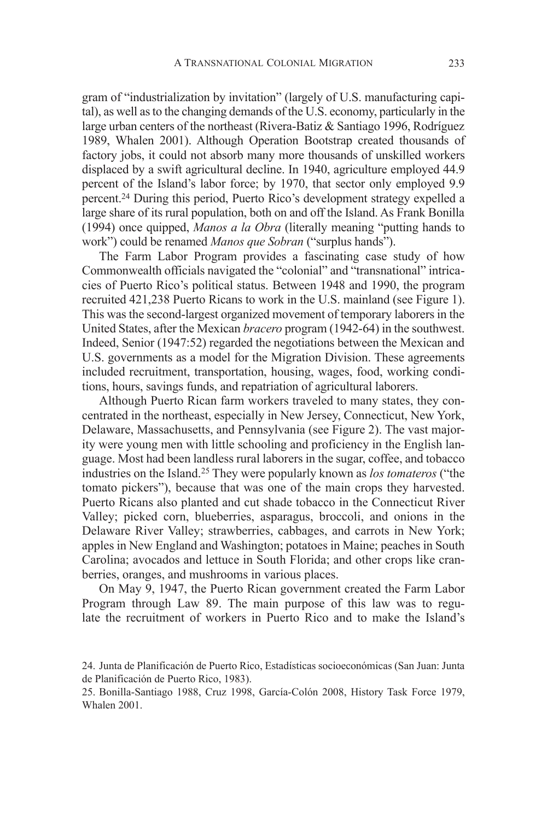gram of "industrialization by invitation" (largely of U.S. manufacturing capital), as well as to the changing demands of the U.S. economy, particularly in the large urban centers of the northeast (Rivera-Batiz  $&$  Santiago 1996, Rodríguez 1989, Whalen 2001). Although Operation Bootstrap created thousands of factory jobs, it could not absorb many more thousands of unskilled workers displaced by a swift agricultural decline. In 1940, agriculture employed 44.9 percent of the Island's labor force; by 1970, that sector only employed 9.9" percent.<sup>24</sup> During this period, Puerto Rico's development strategy expelled a large share of its rural population, both on and off the Island. As Frank Bonilla (1994) once quipped, *Manos a la Obra* (literally meaning "putting hands to" work") could be renamed *Manos que Sobran* ("surplus hands").

The Farm Labor Program provides a fascinating case study of how Commonwealth officials navigated the "colonial" and "transnational" intricacies of Puerto Rico's political status. Between 1948 and 1990, the program recruited 421,238 Puerto Ricans to work in the U.S. mainland (see Figure 1). This was the second-largest organized movement of temporary laborers in the United States, after the Mexican *bracero* program (1942-64) in the southwest. Indeed, Senior (1947:52) regarded the negotiations between the Mexican and U.S. governments as a model for the Migration Division. These agreements included recruitment, transportation, housing, wages, food, working conditions, hours, savings funds, and repatriation of agricultural laborers.

Although Puerto Rican farm workers traveled to many states, they concentrated in the northeast, especially in New Jersey, Connecticut, New York, Delaware, Massachusetts, and Pennsylvania (see Figure 2). The vast majority were young men with little schooling and proficiency in the English language. Most had been landless rural laborers in the sugar, coffee, and tobacco industries on the Island.<sup>25</sup> They were popularly known as *los tomateros* ("the tomato pickers"), because that was one of the main crops they harvested. Puerto Ricans also planted and cut shade tobacco in the Connecticut River Valley; picked corn, blueberries, asparagus, broccoli, and onions in the Delaware River Valley; strawberries, cabbages, and carrots in New York; apples in New England and Washington; potatoes in Maine; peaches in South Carolina; avocados and lettuce in South Florida; and other crops like cranberries, oranges, and mushrooms in various places.

On May 9, 1947, the Puerto Rican government created the Farm Labor Program through Law 89. The main purpose of this law was to regulate the recruitment of workers in Puerto Rico and to make the Island's

<sup>24.</sup> Junta de Planificación de Puerto Rico, Estadísticas socioeconómicas (San Juan: Junta de Planificación de Puerto Rico, 1983).

<sup>25.</sup> Bonilla-Santiago 1988, Cruz 1998, García-Colón 2008, History Task Force 1979, Whalen 2001.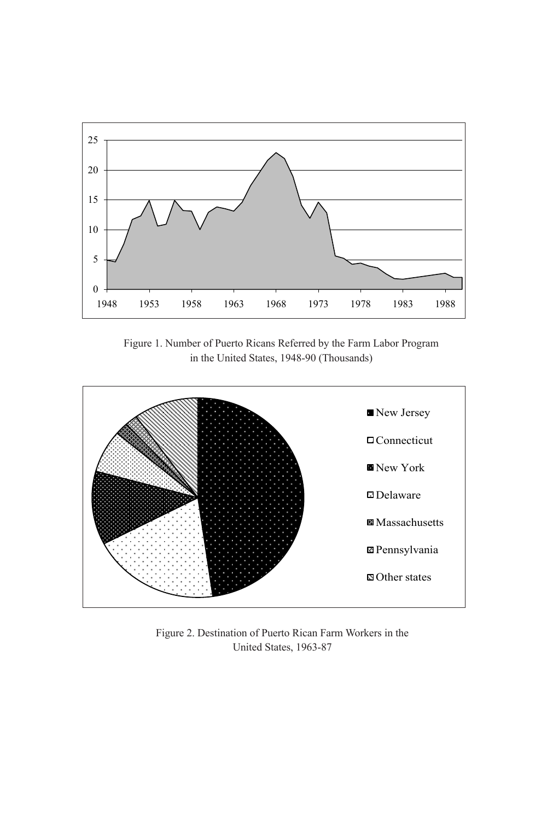

Figure 1. Number of Puerto Ricans Referred by the Farm Labor Program in the United States, 1948-90 (Thousands)



Figure 2. Destination of Puerto Rican Farm Workers in the United States, 1963-87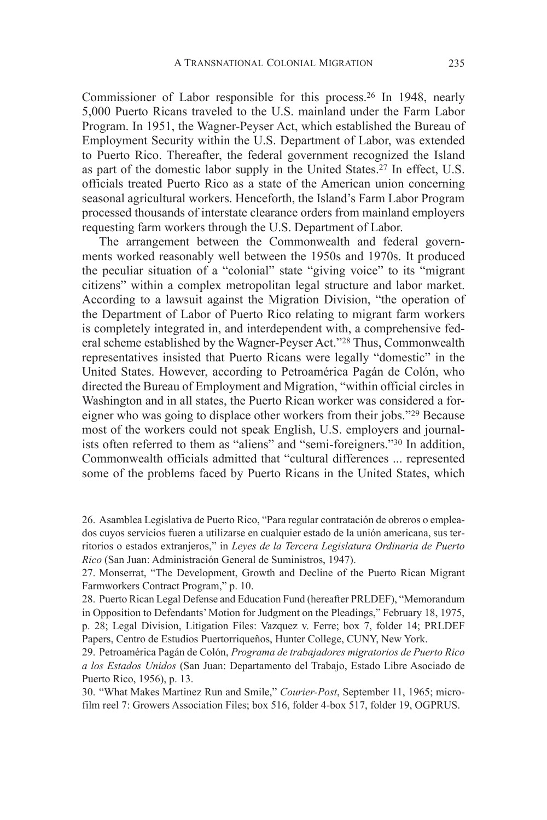Commissioner of Labor responsible for this process.<sup>26</sup> In 1948, nearly 5,000 Puerto Ricans traveled to the U.S. mainland under the Farm Labor Program. In 1951, the Wagner-Peyser Act, which established the Bureau of Employment Security within the U.S. Department of Labor, was extended to Puerto Rico. Thereafter, the federal government recognized the Island as part of the domestic labor supply in the United States.<sup>27</sup> In effect, U.S. officials treated Puerto Rico as a state of the American union concerning seasonal agricultural workers. Henceforth, the Island's Farm Labor Program processed thousands of interstate clearance orders from mainland employers requesting farm workers through the U.S. Department of Labor.

The arrangement between the Commonwealth and federal governments worked reasonably well between the 1950s and 1970s. It produced the peculiar situation of a "colonial" state "giving voice" to its "migrant" citizens" within a complex metropolitan legal structure and labor market. According to a lawsuit against the Migration Division, "the operation of the Department of Labor of Puerto Rico relating to migrant farm workers is completely integrated in, and interdependent with, a comprehensive federal scheme established by the Wagner-Peyser Act."<sup>28</sup> Thus, Commonwealth representatives insisted that Puerto Ricans were legally "domestic" in the United States. However, according to Petroamérica Pagán de Colón, who directed the Bureau of Employment and Migration, "within official circles in" Washington and in all states, the Puerto Rican worker was considered a foreigner who was going to displace other workers from their jobs."<sup>29</sup> Because most of the workers could not speak English, U.S. employers and journalists often referred to them as "aliens" and "semi-foreigners."<sup>30</sup> In addition, Commonwealth officials admitted that "cultural differences ... represented some of the problems faced by Puerto Ricans in the United States, which

<sup>26.</sup> Asamblea Legislativa de Puerto Rico, "Para regular contratación de obreros o empleados cuyos servicios fueren a utilizarse en cualquier estado de la unión americana, sus territorios o estados extranjeros," in Leyes de la Tercera Legislatura Ordinaria de Puerto *Rico* (San Juan: Administración General de Suministros, 1947).

<sup>27.</sup> Monserrat, "The Development, Growth and Decline of the Puerto Rican Migrant" Farmworkers Contract Program," p. 10.

<sup>28.</sup> Puerto Rican Legal Defense and Education Fund (hereafter PRLDEF), "Memorandum" in Opposition to Defendants' Motion for Judgment on the Pleadings," February 18, 1975, p. 28; Legal Division, Litigation Files: Vazquez v. Ferre; box 7, folder 14; PRLDEF Papers, Centro de Estudios Puertorriqueños, Hunter College, CUNY, New York.

<sup>29.</sup> Petroamérica Pagán de Colón, *Programa de trabajadores migratorios de Puerto Rico a\$los\$Estados\$Unidos*"(San"Juan:"Departamento"del"Trabajo,"Estado"Libre"Asociado"de" Puerto Rico, 1956), p. 13.

<sup>30. &</sup>quot;What Makes Martinez Run and Smile," *Courier-Post*, September 11, 1965; microfilm reel 7: Growers Association Files; box 516, folder 4-box 517, folder 19, OGPRUS.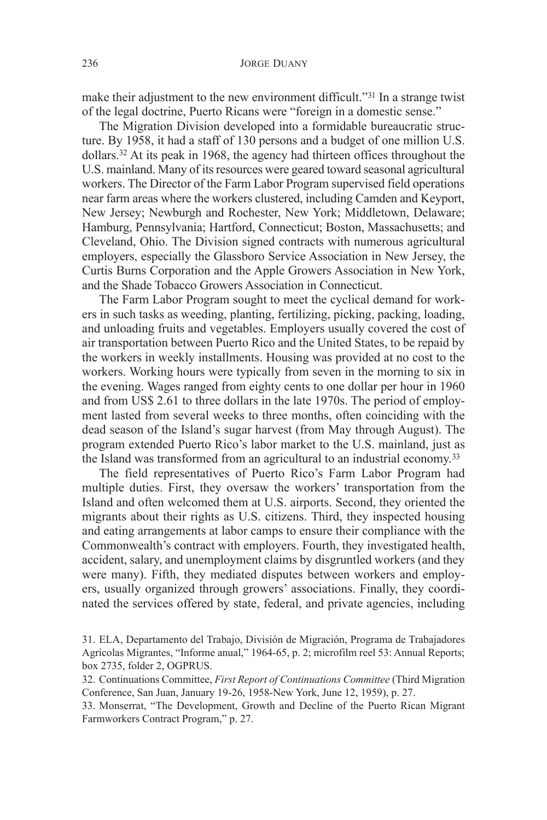make their adjustment to the new environment difficult."<sup>31</sup> In a strange twist of the legal doctrine, Puerto Ricans were "foreign in a domestic sense."

The Migration Division developed into a formidable bureaucratic structure. By 1958, it had a staff of 130 persons and a budget of one million U.S. dollars.<sup>32</sup> At its peak in 1968, the agency had thirteen offices throughout the U.S. mainland. Many of its resources were geared toward seasonal agricultural workers. The Director of the Farm Labor Program supervised field operations near farm areas where the workers clustered, including Camden and Keyport, New Jersey; Newburgh and Rochester, New York; Middletown, Delaware; Hamburg, Pennsylvania; Hartford, Connecticut; Boston, Massachusetts; and Cleveland, Ohio. The Division signed contracts with numerous agricultural employers, especially the Glassboro Service Association in New Jersey, the Curtis Burns Corporation and the Apple Growers Association in New York, and the Shade Tobacco Growers Association in Connecticut.

The Farm Labor Program sought to meet the cyclical demand for workers in such tasks as weeding, planting, fertilizing, picking, packing, loading, and unloading fruits and vegetables. Employers usually covered the cost of air transportation between Puerto Rico and the United States, to be repaid by the workers in weekly installments. Housing was provided at no cost to the workers. Working hours were typically from seven in the morning to six in the evening. Wages ranged from eighty cents to one dollar per hour in 1960 and from US\$ 2.61 to three dollars in the late 1970s. The period of employment lasted from several weeks to three months, often coinciding with the dead season of the Island's sugar harvest (from May through August). The program extended Puerto Rico's labor market to the U.S. mainland, just as the Island was transformed from an agricultural to an industrial economy.<sup>33</sup>

The field representatives of Puerto Rico's Farm Labor Program had multiple duties. First, they oversaw the workers' transportation from the Island and often welcomed them at U.S. airports. Second, they oriented the migrants about their rights as U.S. citizens. Third, they inspected housing and eating arrangements at labor camps to ensure their compliance with the Commonwealth's contract with employers. Fourth, they investigated health, accident, salary, and unemployment claims by disgruntled workers (and they were many). Fifth, they mediated disputes between workers and employers, usually organized through growers' associations. Finally, they coordinated the services offered by state, federal, and private agencies, including

33. Monserrat, "The Development, Growth and Decline of the Puerto Rican Migrant" Farmworkers Contract Program," p. 27.

<sup>31.</sup> ELA, Departamento del Trabajo, División de Migración, Programa de Trabajadores Agrícolas Migrantes, "Informe anual," 1964-65, p. 2; microfilm reel 53: Annual Reports; box 2735, folder 2, OGPRUS.

<sup>32.</sup> Continuations Committee, *First Report of Continuations Committee* (Third Migration Conference, San Juan, January 19-26, 1958-New York, June 12, 1959), p. 27.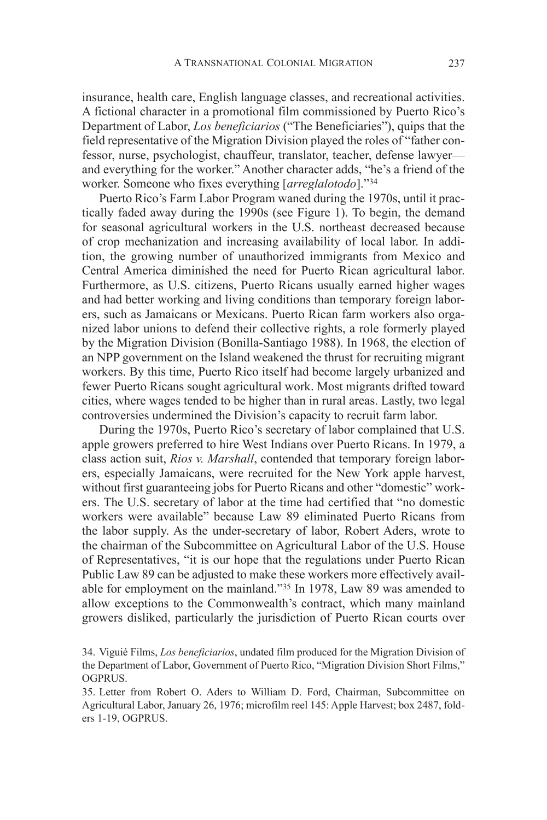insurance, health care, English language classes, and recreational activities. A fictional character in a promotional film commissioned by Puerto Rico's Department of Labor, *Los beneficiarios* ("The Beneficiaries"), quips that the field representative of the Migration Division played the roles of "father confessor, nurse, psychologist, chauffeur, translator, teacher, defense lawyer and everything for the worker." Another character adds, "he's a friend of the worker. Someone who fixes everything [*arreglalotodo*]."<sup>34</sup>

Puerto Rico's Farm Labor Program waned during the 1970s, until it practically faded away during the 1990s (see Figure 1). To begin, the demand for seasonal agricultural workers in the U.S. northeast decreased because of crop mechanization and increasing availability of local labor. In addition, the growing number of unauthorized immigrants from Mexico and Central America diminished the need for Puerto Rican agricultural labor. Furthermore, as U.S. citizens, Puerto Ricans usually earned higher wages and had better working and living conditions than temporary foreign laborers, such as Jamaicans or Mexicans. Puerto Rican farm workers also organized labor unions to defend their collective rights, a role formerly played by the Migration Division (Bonilla-Santiago 1988). In 1968, the election of an NPP government on the Island weakened the thrust for recruiting migrant workers. By this time, Puerto Rico itself had become largely urbanized and fewer Puerto Ricans sought agricultural work. Most migrants drifted toward cities, where wages tended to be higher than in rural areas. Lastly, two legal controversies undermined the Division's capacity to recruit farm labor.

During the 1970s, Puerto Rico's secretary of labor complained that U.S. apple growers preferred to hire West Indians over Puerto Ricans. In 1979, a class action suit, *Rios v. Marshall*, contended that temporary foreign laborers, especially Jamaicans, were recruited for the New York apple harvest, without first guaranteeing jobs for Puerto Ricans and other "domestic" workers. The U.S. secretary of labor at the time had certified that "no domestic" workers were available" because Law 89 eliminated Puerto Ricans from the labor supply. As the under-secretary of labor, Robert Aders, wrote to the chairman of the Subcommittee on Agricultural Labor of the U.S. House of Representatives, "it is our hope that the regulations under Puerto Rican" Public Law 89 can be adjusted to make these workers more effectively available for employment on the mainland."<sup>35</sup> In 1978, Law 89 was amended to allow exceptions to the Commonwealth's contract, which many mainland growers disliked, particularly the jurisdiction of Puerto Rican courts over

<sup>34.</sup> Viguié Films, *Los beneficiarios*, undated film produced for the Migration Division of the Department of Labor, Government of Puerto Rico, "Migration Division Short Films," OGPRUS.

<sup>35.</sup> Letter from Robert O. Aders to William D. Ford, Chairman, Subcommittee on Agricultural Labor, January 26, 1976; microfilm reel 145: Apple Harvest; box 2487, folders 1-19, OGPRUS.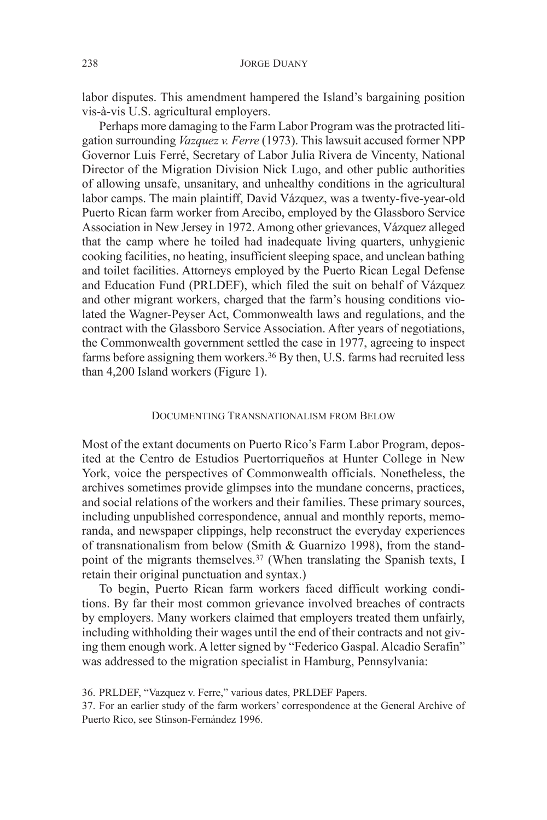labor disputes. This amendment hampered the Island's bargaining position vis-à-vis U.S. agricultural employers.

Perhaps more damaging to the Farm Labor Program was the protracted litigation surrounding *Vazquez v. Ferre* (1973). This lawsuit accused former NPP Governor Luis Ferré, Secretary of Labor Julia Rivera de Vincenty, National Director of the Migration Division Nick Lugo, and other public authorities of allowing unsafe, unsanitary, and unhealthy conditions in the agricultural labor camps. The main plaintiff, David Vázquez, was a twenty-five-year-old Puerto Rican farm worker from Arecibo, employed by the Glassboro Service Association in New Jersey in 1972. Among other grievances, Vázquez alleged that the camp where he toiled had inadequate living quarters, unhygienic cooking facilities, no heating, insufficient sleeping space, and unclean bathing and toilet facilities. Attorneys employed by the Puerto Rican Legal Defense and Education Fund (PRLDEF), which filed the suit on behalf of Vázquez and other migrant workers, charged that the farm's housing conditions violated the Wagner-Peyser Act, Commonwealth laws and regulations, and the contract with the Glassboro Service Association. After years of negotiations, the Commonwealth government settled the case in 1977, agreeing to inspect farms before assigning them workers.<sup>36</sup> By then, U.S. farms had recruited less than  $4,200$  Island workers (Figure 1).

### DOCUMENTING TRANSNATIONALISM FROM BELOW

Most of the extant documents on Puerto Rico's Farm Labor Program, deposited at the Centro de Estudios Puertorriqueños at Hunter College in New York, voice the perspectives of Commonwealth officials. Nonetheless, the archives sometimes provide glimpses into the mundane concerns, practices, and social relations of the workers and their families. These primary sources, including unpublished correspondence, annual and monthly reports, memoranda, and newspaper clippings, help reconstruct the everyday experiences of transnationalism from below (Smith  $&$  Guarnizo 1998), from the standpoint of the migrants themselves.<sup>37</sup> (When translating the Spanish texts, I retain their original punctuation and syntax.)

To begin, Puerto Rican farm workers faced difficult working conditions. By far their most common grievance involved breaches of contracts by employers. Many workers claimed that employers treated them unfairly, including withholding their wages until the end of their contracts and not giving them enough work. A letter signed by "Federico Gaspal. Alcadio Serafín" was addressed to the migration specialist in Hamburg, Pennsylvania:

36. PRLDEF, "Vazquez v. Ferre," various dates, PRLDEF Papers.

37. For an earlier study of the farm workers' correspondence at the General Archive of Puerto Rico, see Stinson-Fernández 1996.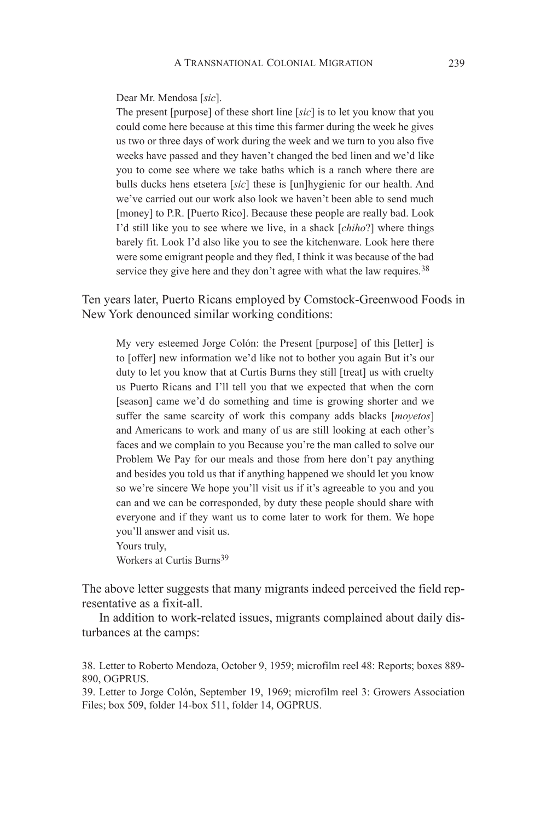Dear Mr. Mendosa [sic].

The present [purpose] of these short line [*sic*] is to let you know that you could come here because at this time this farmer during the week he gives us two or three days of work during the week and we turn to you also five weeks have passed and they haven't changed the bed linen and we'd like" you to come see where we take baths which is a ranch where there are bulls ducks hens etsetera [*sic*] these is [un]hygienic for our health. And we've carried out our work also look we haven't been able to send much [money] to P.R. [Puerto Rico]. Because these people are really bad. Look" I'd still like you to see where we live, in a shack [*chiho*?] where things barely fit. Look I'd also like you to see the kitchenware. Look here there were some emigrant people and they fled. I think it was because of the bad service they give here and they don't agree with what the law requires.<sup>38</sup>

Ten years later, Puerto Ricans employed by Comstock-Greenwood Foods in New York denounced similar working conditions:

My very esteemed Jorge Colón: the Present [purpose] of this [letter] is to [offer] new information we'd like not to bother you again But it's our duty to let you know that at Curtis Burns they still [treat] us with cruelty us Puerto Ricans and I'll tell you that we expected that when the corn [season] came we'd do something and time is growing shorter and we" suffer the same scarcity of work this company adds blacks [*moyetos*] and Americans to work and many of us are still looking at each other's faces and we complain to you Because you're the man called to solve our Problem We Pay for our meals and those from here don't pay anything and besides you told us that if anything happened we should let you know so we're sincere We hope you'll visit us if it's agreeable to you and you can and we can be corresponded, by duty these people should share with everyone and if they want us to come later to work for them. We hope you'll answer and visit us. Yours truly,

Workers at Curtis Burns<sup>39</sup>

The above letter suggests that many migrants indeed perceived the field representative as a fixit-all.

In addition to work-related issues, migrants complained about daily disturbances at the camps:

38. Letter to Roberto Mendoza, October 9, 1959; microfilm reel 48: Reports; boxes 889-890, OGPRUS.

39. Letter to Jorge Colón, September 19, 1969; microfilm reel 3: Growers Association Files; box 509, folder 14-box 511, folder 14, OGPRUS.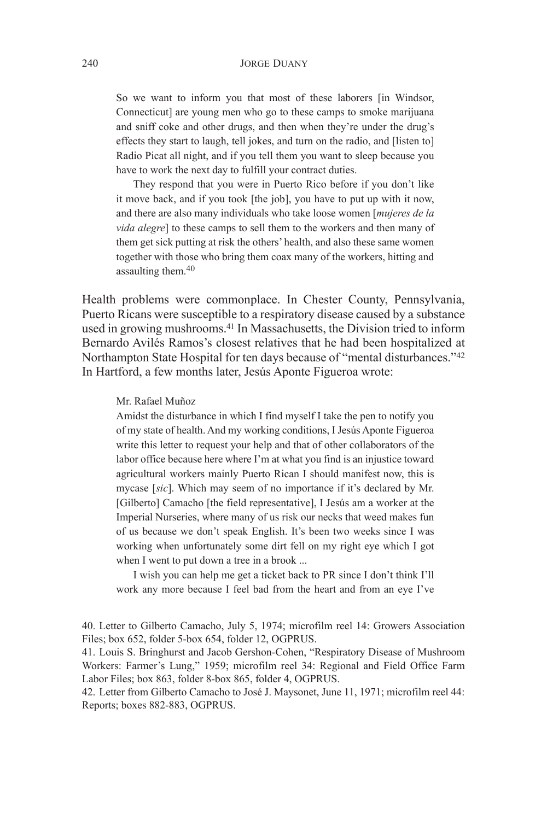#### 240 JORGE DUANY

So we want to inform you that most of these laborers [in Windsor, Connecticut] are young men who go to these camps to smoke marijuana and sniff coke and other drugs, and then when they're under the drug's effects they start to laugh, tell jokes, and turn on the radio, and [listen to] Radio Picat all night, and if you tell them you want to sleep because you have to work the next day to fulfill your contract duties.

They respond that you were in Puerto Rico before if you don't like it move back, and if you took [the job], you have to put up with it now, and there are also many individuals who take loose women [*mujeres de la vida alegre*] to these camps to sell them to the workers and then many of them get sick putting at risk the others' health, and also these same women together with those who bring them coax many of the workers, hitting and assaulting them. $40$ 

Health problems were commonplace. In Chester County, Pennsylvania, Puerto Ricans were susceptible to a respiratory disease caused by a substance used in growing mushrooms.<sup>41</sup> In Massachusetts, the Division tried to inform Bernardo Avilés Ramos's closest relatives that he had been hospitalized at Northampton State Hospital for ten days because of "mental disturbances."<sup>42</sup> In Hartford, a few months later, Jesús Aponte Figueroa wrote:

#### Mr. Rafael Muñoz

Amidst the disturbance in which I find myself I take the pen to notify you of my state of health. And my working conditions, I Jesús Aponte Figueroa" write this letter to request your help and that of other collaborators of the labor office because here where I'm at what you find is an injustice toward agricultural workers mainly Puerto Rican I should manifest now, this is mycase [sic]. Which may seem of no importance if it's declared by Mr. [Gilberto] Camacho [the field representative], I Jesús am a worker at the Imperial Nurseries, where many of us risk our necks that weed makes fun of us because we don't speak English. It's been two weeks since I was working when unfortunately some dirt fell on my right eye which I got when I went to put down a tree in a brook ...

I wish you can help me get a ticket back to PR since I don't think I'll work any more because I feel bad from the heart and from an eye I've

40. Letter to Gilberto Camacho, July 5, 1974; microfilm reel 14: Growers Association Files; box 652, folder 5-box 654, folder 12, OGPRUS.

41. Louis S. Bringhurst and Jacob Gershon-Cohen, "Respiratory Disease of Mushroom" Workers: Farmer's Lung," 1959; microfilm reel 34: Regional and Field Office Farm Labor Files; box 863, folder 8-box 865, folder 4, OGPRUS.

42. Letter from Gilberto Camacho to José J. Maysonet, June 11, 1971; microfilm reel 44: Reports; boxes 882-883, OGPRUS.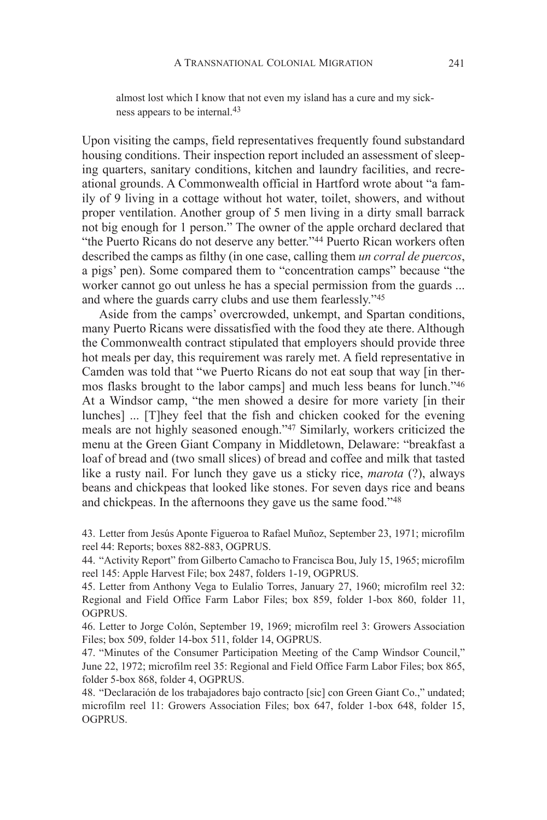almost lost which I know that not even my island has a cure and my sickness appears to be internal.<sup>43</sup>

Upon visiting the camps, field representatives frequently found substandard housing conditions. Their inspection report included an assessment of sleeping quarters, sanitary conditions, kitchen and laundry facilities, and recreational grounds. A Commonwealth official in Hartford wrote about "a family of 9 living in a cottage without hot water, toilet, showers, and without proper ventilation. Another group of 5 men living in a dirty small barrack not big enough for 1 person." The owner of the apple orchard declared that "the Puerto Ricans do not deserve any better."<sup>44</sup> Puerto Rican workers often described the camps as filthy (in one case, calling them *un corral de puercos*, a pigs' pen). Some compared them to "concentration camps" because "the worker cannot go out unless he has a special permission from the guards ... and where the guards carry clubs and use them fearlessly."45

Aside from the camps' overcrowded, unkempt, and Spartan conditions, many Puerto Ricans were dissatisfied with the food they ate there. Although the Commonwealth contract stipulated that employers should provide three hot meals per day, this requirement was rarely met. A field representative in Camden was told that "we Puerto Ricans do not eat soup that way [in thermos flasks brought to the labor camps] and much less beans for lunch."46 At a Windsor camp, "the men showed a desire for more variety [in their" lunches] ... [T]hey feel that the fish and chicken cooked for the evening" meals are not highly seasoned enough."<sup>47</sup> Similarly, workers criticized the menu at the Green Giant Company in Middletown, Delaware: "breakfast a loaf of bread and (two small slices) of bread and coffee and milk that tasted like a rusty nail. For lunch they gave us a sticky rice, *marota* (?), always beans and chickpeas that looked like stones. For seven days rice and beans and chickpeas. In the afternoons they gave us the same food."<sup>48</sup>

43. Letter from Jesús Aponte Figueroa to Rafael Muñoz, September 23, 1971; microfilm reel 44: Reports; boxes 882-883, OGPRUS.

44. "Activity Report" from Gilberto Camacho to Francisca Bou, July 15, 1965; microfilm reel 145: Apple Harvest File; box 2487, folders 1-19, OGPRUS.

45. Letter from Anthony Vega to Eulalio Torres, January 27, 1960; microfilm reel 32: Regional and Field Office Farm Labor Files; box 859, folder 1-box 860, folder 11, OGPRUS.

46. Letter to Jorge Colón, September 19, 1969; microfilm reel 3: Growers Association Files; box 509, folder 14-box 511, folder 14, OGPRUS.

47. "Minutes of the Consumer Participation Meeting of the Camp Windsor Council," June 22, 1972; microfilm reel 35: Regional and Field Office Farm Labor Files; box 865, folder 5-box 868, folder 4, OGPRUS.

48. "Declaración de los trabajadores bajo contracto [sic] con Green Giant Co.," undated; microfilm reel 11: Growers Association Files; box 647, folder 1-box 648, folder 15, OGPRUS.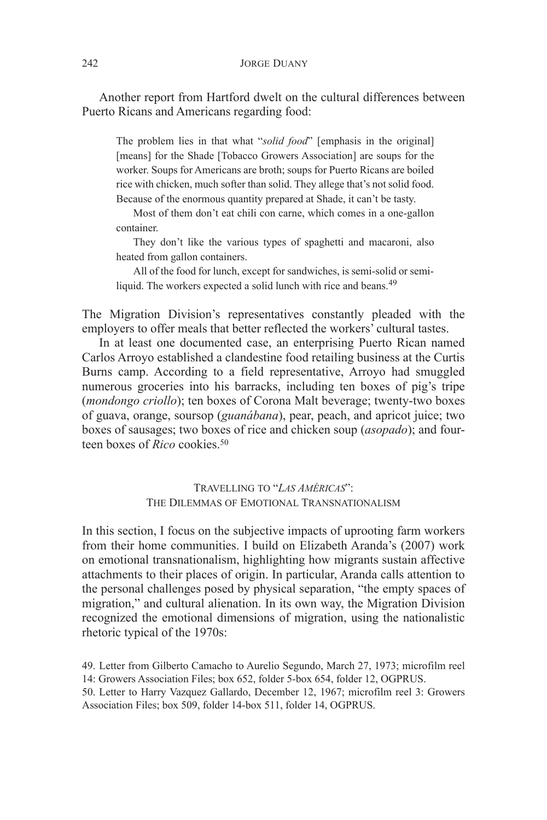Another report from Hartford dwelt on the cultural differences between Puerto Ricans and Americans regarding food:

The problem lies in that what "*solid food*" [emphasis in the original] [means] for the Shade [Tobacco Growers Association] are soups for the worker. Soups for Americans are broth; soups for Puerto Ricans are boiled rice with chicken, much softer than solid. They allege that's not solid food. Because of the enormous quantity prepared at Shade, it can't be tasty.

Most of them don't eat chili con carne, which comes in a one-gallon container.

They don't like the various types of spaghetti and macaroni, also heated from gallon containers.

All of the food for lunch, except for sandwiches, is semi-solid or semiliquid. The workers expected a solid lunch with rice and beans.<sup>49</sup>

The Migration Division's representatives constantly pleaded with the employers to offer meals that better reflected the workers' cultural tastes.

In at least one documented case, an enterprising Puerto Rican named Carlos Arroyo established a clandestine food retailing business at the Curtis" Burns camp. According to a field representative, Arroyo had smuggled numerous groceries into his barracks, including ten boxes of pig's tripe (*mondongo criollo*); ten boxes of Corona Malt beverage; twenty-two boxes of guava, orange, soursop (*guanábana*), pear, peach, and apricot juice; two boxes of sausages; two boxes of rice and chicken soup (*asopado*); and fourteen boxes of *Rico* cookies<sup>50</sup>

# TRAVELLING TO "LAS AMÉRICAS": THE DILEMMAS OF EMOTIONAL TRANSNATIONALISM

In this section, I focus on the subjective impacts of uprooting farm workers from their home communities. I build on Elizabeth Aranda's (2007) work on emotional transnationalism, highlighting how migrants sustain affective attachments to their places of origin. In particular, Aranda calls attention to the personal challenges posed by physical separation, "the empty spaces of migration," and cultural alienation. In its own way, the Migration Division recognized the emotional dimensions of migration, using the nationalistic rhetoric typical of the 1970s:

<sup>49.</sup> Letter from Gilberto Camacho to Aurelio Segundo, March 27, 1973; microfilm reel 14: Growers Association Files; box 652, folder 5-box 654, folder 12, OGPRUS.

<sup>50.</sup> Letter to Harry Vazquez Gallardo, December 12, 1967; microfilm reel 3: Growers Association Files; box 509, folder 14-box 511, folder 14, OGPRUS.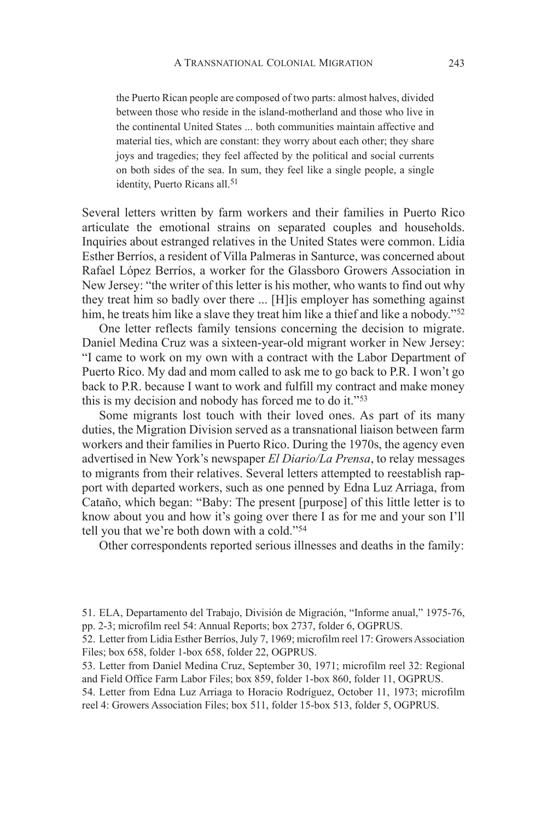the Puerto Rican people are composed of two parts: almost halves, divided between those who reside in the island-motherland and those who live in the continental United States ... both communities maintain affective and material ties, which are constant: they worry about each other; they share joys and tragedies; they feel affected by the political and social currents on both sides of the sea. In sum, they feel like a single people, a single identity, Puerto Ricans all.<sup>51</sup>

Several letters written by farm workers and their families in Puerto Rico articulate the emotional strains on separated couples and households. Inquiries about estranged relatives in the United States were common. Lidia Esther Berríos, a resident of Villa Palmeras in Santurce, was concerned about Rafael López Berríos, a worker for the Glassboro Growers Association in New Jersey: "the writer of this letter is his mother, who wants to find out why they treat him so badly over there ... [H] is employer has something against him, he treats him like a slave they treat him like a thief and like a nobody."<sup>52</sup>

One letter reflects family tensions concerning the decision to migrate. Daniel Medina Cruz was a sixteen-year-old migrant worker in New Jersey: "I came to work on my own with a contract with the Labor Department of Puerto Rico. My dad and mom called to ask me to go back to P.R. I won't go back to P.R. because I want to work and fulfill my contract and make money this is my decision and nobody has forced me to do it."<sup>53</sup>

Some migrants lost touch with their loved ones. As part of its many duties, the Migration Division served as a transnational liaison between farm workers and their families in Puerto Rico. During the 1970s, the agency even advertised in New York's newspaper *El Diario/La Prensa*, to relay messages to migrants from their relatives. Several letters attempted to reestablish rapport with departed workers, such as one penned by Edna Luz Arriaga, from Cataño, which began: "Baby: The present [purpose] of this little letter is to know about you and how it's going over there I as for me and your son I'll tell you that we're both down with a cold."<sup>54</sup>

Other correspondents reported serious illnesses and deaths in the family:

<sup>51.</sup> ELA, Departamento del Trabajo, División de Migración, "Informe anual," 1975-76, pp. 2-3; microfilm reel 54: Annual Reports; box 2737, folder 6, OGPRUS.

<sup>52.</sup> Letter from Lidia Esther Berríos, July 7, 1969; microfilm reel 17: Growers Association Files; box 658, folder 1-box 658, folder 22, OGPRUS.

<sup>53.</sup> Letter from Daniel Medina Cruz, September 30, 1971; microfilm reel 32: Regional and Field Office Farm Labor Files; box 859, folder 1-box 860, folder 11, OGPRUS.

<sup>54.</sup> Letter from Edna Luz Arriaga to Horacio Rodríguez, October 11, 1973; microfilm reel 4: Growers Association Files; box 511, folder 15-box 513, folder 5, OGPRUS.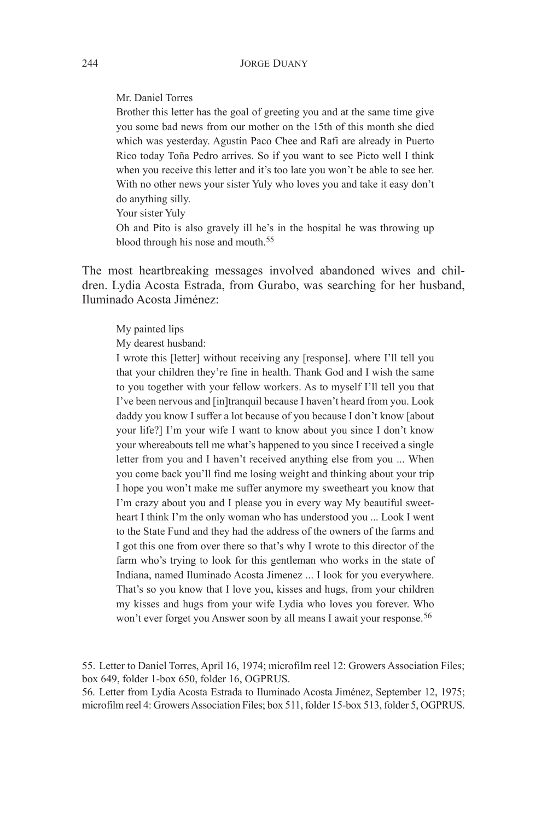### Mr. Daniel Torres

Brother this letter has the goal of greeting you and at the same time give you some bad news from our mother on the 15th of this month she died which was yesterday. Agustín Paco Chee and Rafi are already in Puerto Rico today Toña Pedro arrives. So if you want to see Picto well I think when you receive this letter and it's too late you won't be able to see her. With no other news your sister Yuly who loves you and take it easy don't do anything silly.

Your sister Yuly

Oh and Pito is also gravely ill he's in the hospital he was throwing up blood through his nose and mouth.<sup>55</sup>

The most heartbreaking messages involved abandoned wives and children. Lydia Acosta Estrada, from Gurabo, was searching for her husband, Iluminado Acosta Jiménez:

My painted lips

My dearest husband:

I wrote this [letter] without receiving any [response]. where I'll tell you that your children they're fine in health. Thank God and I wish the same to you together with your fellow workers. As to myself I'll tell you that I've been nervous and [in]tranquil because I haven't heard from you. Look daddy you know I suffer a lot because of you because I don't know [about your life?] I'm your wife I want to know about you since I don't know your whereabouts tell me what's happened to you since I received a single letter from you and I haven't received anything else from you ... When you come back you'll find me losing weight and thinking about your trip I hope you won't make me suffer anymore my sweetheart you know that I'm crazy about you and I please you in every way My beautiful sweetheart I think I'm the only woman who has understood you ... Look I went to the State Fund and they had the address of the owners of the farms and I got this one from over there so that's why I wrote to this director of the farm who's trying to look for this gentleman who works in the state of Indiana, named Iluminado Acosta Jimenez ... I look for you everywhere. That's so you know that I love you, kisses and hugs, from your children my kisses and hugs from your wife Lydia who loves you forever. Who won't ever forget you Answer soon by all means I await your response.<sup>56</sup>

55. Letter to Daniel Torres, April 16, 1974; microfilm reel 12: Growers Association Files; box 649, folder 1-box 650, folder 16, OGPRUS.

56. Letter from Lydia Acosta Estrada to Iluminado Acosta Jiménez, September 12, 1975: microfilm reel 4: Growers Association Files; box 511, folder 15-box 513, folder 5, OGPRUS.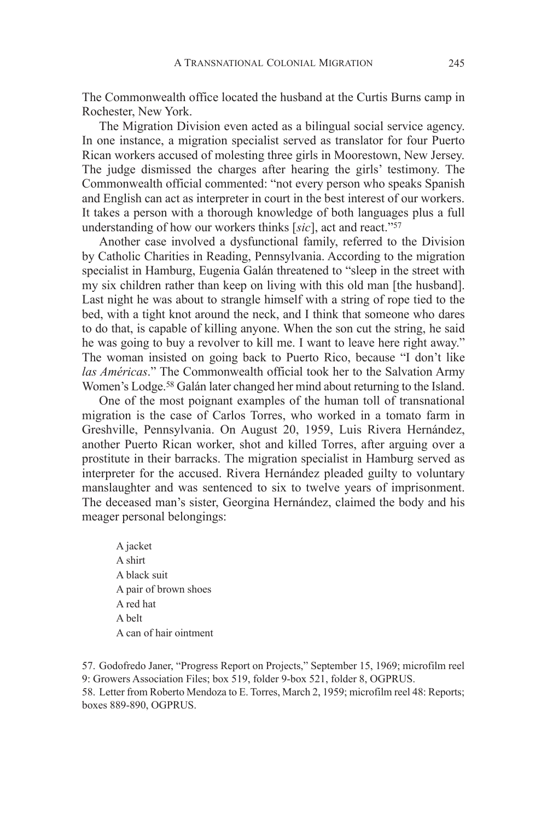The Commonwealth office located the husband at the Curtis Burns camp in Rochester, New York.

The Migration Division even acted as a bilingual social service agency. In one instance, a migration specialist served as translator for four Puerto Rican workers accused of molesting three girls in Moorestown, New Jersey. The judge dismissed the charges after hearing the girls' testimony. The Commonwealth official commented: "not every person who speaks Spanish" and English can act as interpreter in court in the best interest of our workers. It takes a person with a thorough knowledge of both languages plus a full understanding of how our workers thinks [*sic*], act and react."<sup>57</sup>

Another case involved a dysfunctional family, referred to the Division by Catholic Charities in Reading, Pennsylvania. According to the migration specialist in Hamburg, Eugenia Galán threatened to "sleep in the street with" my six children rather than keep on living with this old man [the husband]. Last night he was about to strangle himself with a string of rope tied to the bed, with a tight knot around the neck, and I think that someone who dares to do that, is capable of killing anyone. When the son cut the string, he said he was going to buy a revolver to kill me. I want to leave here right away." The woman insisted on going back to Puerto Rico, because "I don't like" *las Américas*." The Commonwealth official took her to the Salvation Army Women's Lodge.<sup>58</sup> Galán later changed her mind about returning to the Island.

One of the most poignant examples of the human toll of transnational migration is the case of Carlos Torres, who worked in a tomato farm in Greshville, Pennsylvania. On August 20, 1959, Luis Rivera Hernández, another Puerto Rican worker, shot and killed Torres, after arguing over a prostitute in their barracks. The migration specialist in Hamburg served as interpreter for the accused. Rivera Hernández pleaded guilty to voluntary manslaughter and was sentenced to six to twelve years of imprisonment. The deceased man's sister, Georgina Hernández, claimed the body and his meager personal belongings:

A jacket A shirt A black suit A pair of brown shoes A red hat A belt A can of hair ointment

57. Godofredo Janer, "Progress Report on Projects," September 15, 1969; microfilm reel 9: Growers Association Files; box 519, folder 9-box 521, folder 8, OGPRUS. 58. Letter from Roberto Mendoza to E. Torres, March 2, 1959; microfilm reel 48: Reports; boxes 889-890, OGPRUS.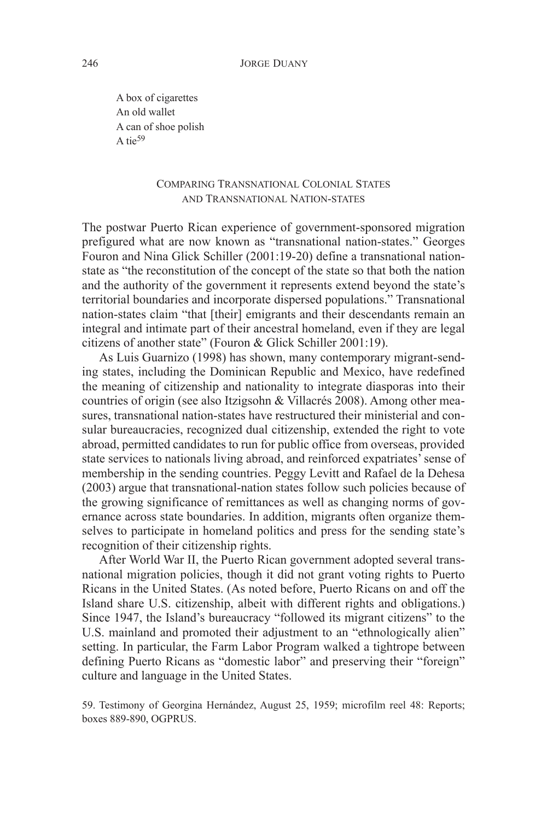A box of cigarettes An old wallet A can of shoe polish  $\Delta$  tie<sup>59</sup>

# COMPARING TRANSNATIONAL COLONIAL STATES AND TRANSNATIONAL NATION=STATES

The postwar Puerto Rican experience of government-sponsored migration prefigured what are now known as "transnational nation-states." Georges Fouron and Nina Glick Schiller (2001:19-20) define a transnational nationstate as "the reconstitution of the concept of the state so that both the nation and the authority of the government it represents extend beyond the state's territorial boundaries and incorporate dispersed populations." Transnational nation-states claim "that [their] emigrants and their descendants remain an integral and intimate part of their ancestral homeland, even if they are legal citizens of another state" (Fouron & Glick Schiller 2001:19).

As Luis Guarnizo (1998) has shown, many contemporary migrant-sending states, including the Dominican Republic and Mexico, have redefined the meaning of citizenship and nationality to integrate diasporas into their countries of origin (see also Itzigsohn  $&$  Villacrés 2008). Among other measures, transnational nation-states have restructured their ministerial and consular bureaucracies, recognized dual citizenship, extended the right to vote abroad, permitted candidates to run for public office from overseas, provided state services to nationals living abroad, and reinforced expatriates' sense of membership in the sending countries. Peggy Levitt and Rafael de la Dehesa  $(2003)$  argue that transnational-nation states follow such policies because of the growing significance of remittances as well as changing norms of governance across state boundaries. In addition, migrants often organize themselves to participate in homeland politics and press for the sending state's recognition of their citizenship rights.

After World War II, the Puerto Rican government adopted several transnational migration policies, though it did not grant voting rights to Puerto" Ricans in the United States. (As noted before, Puerto Ricans on and off the Island share U.S. citizenship, albeit with different rights and obligations.) Since 1947, the Island's bureaucracy "followed its migrant citizens" to the U.S. mainland and promoted their adjustment to an "ethnologically alien" setting. In particular, the Farm Labor Program walked a tightrope between defining Puerto Ricans as "domestic labor" and preserving their "foreign" culture and language in the United States.

59. Testimony of Georgina Hernández, August 25, 1959; microfilm reel 48: Reports; boxes 889-890, OGPRUS.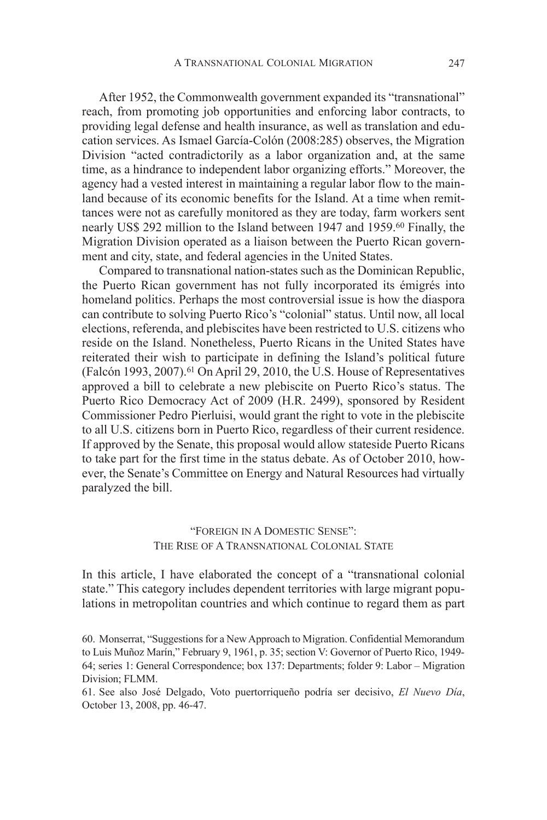After 1952, the Commonwealth government expanded its "transnational" reach, from promoting job opportunities and enforcing labor contracts, to providing legal defense and health insurance, as well as translation and education services. As Ismael García-Colón (2008:285) observes, the Migration Division "acted contradictorily as a labor organization and, at the same time, as a hindrance to independent labor organizing efforts." Moreover, the agency had a vested interest in maintaining a regular labor flow to the mainland because of its economic benefits for the Island. At a time when remittances were not as carefully monitored as they are today, farm workers sent nearly US\$ 292 million to the Island between 1947 and 1959.<sup>60</sup> Finally, the Migration Division operated as a liaison between the Puerto Rican government and city, state, and federal agencies in the United States.

Compared to transnational nation-states such as the Dominican Republic. the Puerto Rican government has not fully incorporated its émigrés into homeland politics. Perhaps the most controversial issue is how the diaspora can contribute to solving Puerto Rico's "colonial" status. Until now, all local elections, referenda, and plebiscites have been restricted to U.S. citizens who reside on the Island. Nonetheless, Puerto Ricans in the United States have reiterated their wish to participate in defining the Island's political future (Falcón 1993, 2007).<sup>61</sup> On April 29, 2010, the U.S. House of Representatives approved a bill to celebrate a new plebiscite on Puerto Rico's status. The Puerto Rico Democracy Act of 2009 (H.R. 2499), sponsored by Resident Commissioner Pedro Pierluisi, would grant the right to vote in the plebiscite to all U.S. citizens born in Puerto Rico, regardless of their current residence. If approved by the Senate, this proposal would allow stateside Puerto Ricans" to take part for the first time in the status debate. As of October 2010, however, the Senate's Committee on Energy and Natural Resources had virtually paralyzed the bill.

### "FOREIGN IN A DOMESTIC SENSE": THE RISE OF A TRANSNATIONAL COLONIAL STATE

In this article, I have elaborated the concept of a "transnational colonial" state." This category includes dependent territories with large migrant populations in metropolitan countries and which continue to regard them as part

61."See" also" José" Delgado," Voto" puertorriqueño" podría" ser" decisivo," *El\$ Nuevo\$ Día*," October 13, 2008, pp. 46-47.

<sup>60.</sup> Monserrat, "Suggestions for a New Approach to Migration. Confidential Memorandum to Luis Muñoz Marín," February 9, 1961, p. 35; section V: Governor of Puerto Rico, 1949-64; series 1: General Correspondence; box 137: Departments; folder 9: Labor – Migration Division: FLMM.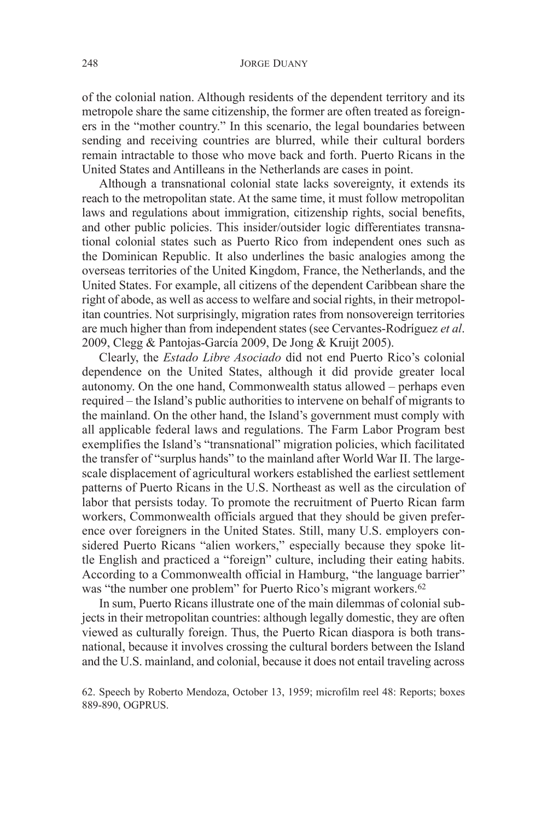of the colonial nation. Although residents of the dependent territory and its metropole share the same citizenship, the former are often treated as foreigners in the "mother country." In this scenario, the legal boundaries between sending and receiving countries are blurred, while their cultural borders remain intractable to those who move back and forth. Puerto Ricans in the United States and Antilleans in the Netherlands are cases in point.

Although a transnational colonial state lacks sovereignty, it extends its reach to the metropolitan state. At the same time, it must follow metropolitan laws and regulations about immigration, citizenship rights, social benefits, and other public policies. This insider/outsider logic differentiates transnational colonial states such as Puerto Rico from independent ones such as the Dominican Republic. It also underlines the basic analogies among the overseas territories of the United Kingdom, France, the Netherlands, and the United States. For example, all citizens of the dependent Caribbean share the right of abode, as well as access to welfare and social rights, in their metropolitan countries. Not surprisingly, migration rates from nonsovereign territories are much higher than from independent states (see Cervantes-Rodríguez et al. 2009, Clegg & Pantojas-García 2009, De Jong & Kruijt 2005).

Clearly, the *Estado Libre Asociado* did not end Puerto Rico's colonial dependence on the United States, although it did provide greater local autonomy. On the one hand, Commonwealth status allowed – perhaps even required – the Island's public authorities to intervene on behalf of migrants to the mainland. On the other hand, the Island's government must comply with all applicable federal laws and regulations. The Farm Labor Program best exemplifies the Island's "transnational" migration policies, which facilitated the transfer of "surplus hands" to the mainland after World War II. The largescale displacement of agricultural workers established the earliest settlement patterns of Puerto Ricans in the U.S. Northeast as well as the circulation of labor that persists today. To promote the recruitment of Puerto Rican farm workers, Commonwealth officials argued that they should be given preference over foreigners in the United States. Still, many U.S. employers considered Puerto Ricans "alien workers," especially because they spoke little English and practiced a "foreign" culture, including their eating habits. According to a Commonwealth official in Hamburg, "the language barrier" was "the number one problem" for Puerto Rico's migrant workers.<sup>62</sup>

In sum, Puerto Ricans illustrate one of the main dilemmas of colonial subjects in their metropolitan countries: although legally domestic, they are often viewed as culturally foreign. Thus, the Puerto Rican diaspora is both transnational, because it involves crossing the cultural borders between the Island and the U.S. mainland, and colonial, because it does not entail traveling across

62. Speech by Roberto Mendoza, October 13, 1959; microfilm reel 48: Reports; boxes 889-890, OGPRUS.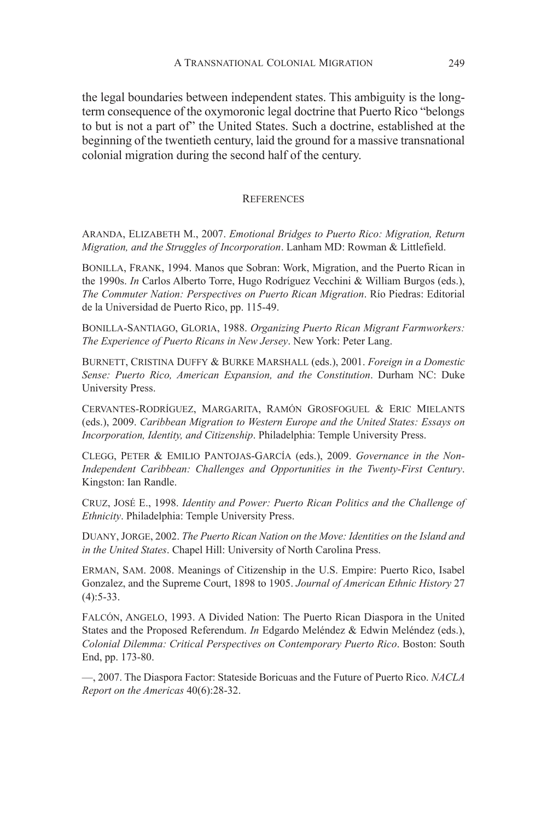the legal boundaries between independent states. This ambiguity is the longterm consequence of the oxymoronic legal doctrine that Puerto Rico "belongs" to but is not a part of" the United States. Such a doctrine, established at the beginning of the twentieth century, laid the ground for a massive transnational colonial migration during the second half of the century.

#### **REFERENCES**

ARANDA, ELIZABETH M., 2007. *Emotional Bridges to Puerto Rico: Migration, Return Migration, and the Struggles of Incorporation.* Lanham MD: Rowman & Littlefield.

BONILLA, FRANK, 1994. Manos que Sobran: Work, Migration, and the Puerto Rican in the 1990s. *In* Carlos Alberto Torre, Hugo Rodríguez Vecchini & William Burgos (eds.), *The Commuter Nation: Perspectives on Puerto Rican Migration. Río Piedras: Editorial* de la Universidad de Puerto Rico, pp. 115-49.

BONILLA-SANTIAGO, GLORIA, 1988. *Organizing Puerto Rican Migrant Farmworkers: The Experience of Puerto Ricans in New Jersey.* New York: Peter Lang.

BURNETT, CRISTINA DUFFY & BURKE MARSHALL (eds.), 2001. *Foreign in a Domestic* Sense: Puerto Rico, American Expansion, and the Constitution. Durham NC: Duke University Press.

CERVANTES-RODRÍGUEZ, MARGARITA, RAMÓN GROSFOGUEL & ERIC MIELANTS (eds.), 2009. *Caribbean Migration to Western Europe and the United States: Essays on Incorporation, Identity, and Citizenship. Philadelphia: Temple University Press.* 

CLEGG, PETER & EMILIO PANTOJAS-GARCÍA (eds.), 2009. Governance in the Non-Independent Caribbean: Challenges and Opportunities in the Twenty-First Century. Kingston: Ian Randle.

CRUZ, JOSÉ E., 1998. *Identity and Power: Puerto Rican Politics and the Challenge of Ethnicity*. Philadelphia: Temple University Press.

DUANY, JORGE, 2002. *The Puerto Rican Nation on the Move: Identities on the Island and in the United States*. Chapel Hill: University of North Carolina Press.

ERMAN, SAM. 2008. Meanings of Citizenship in the U.S. Empire: Puerto Rico, Isabel Gonzalez, and the Supreme Court, 1898 to 1905. Journal of American Ethnic History 27  $(4): 5-33.$ 

FALCÓN, ANGELO, 1993. A Divided Nation: The Puerto Rican Diaspora in the United States and the Proposed Referendum. *In* Edgardo Meléndez & Edwin Meléndez (eds.), *Colonial\$Dilemma:\$Critical\$Perspectives\$on\$Contemporary\$Puerto\$Rico*."Boston:"South" End, pp. 173-80.

 $\rightarrow$ , 2007. The Diaspora Factor: Stateside Boricuas and the Future of Puerto Rico. *NACLA Report on the Americas* 40(6):28-32.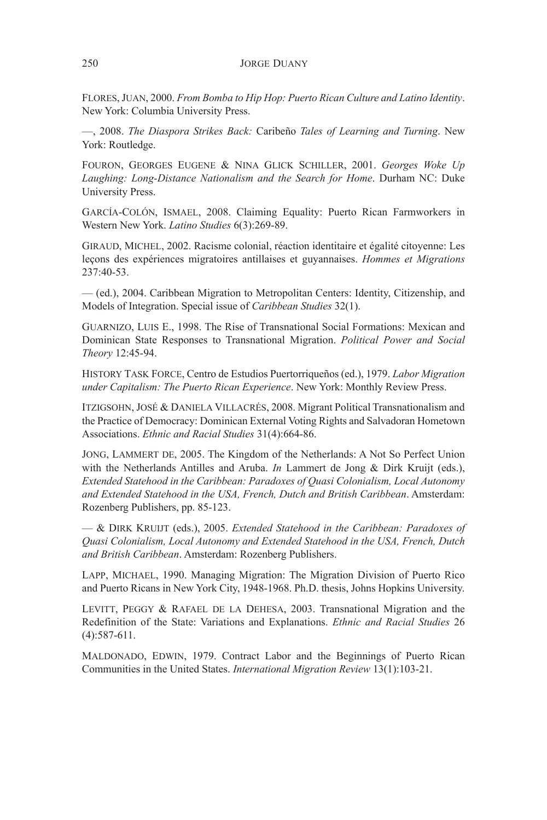FLORES, JUAN, 2000. *From Bomba to Hip Hop: Puerto Rican Culture and Latino Identity*. New York: Columbia University Press.

—," 2008."*The\$ Diaspora\$ Strikes\$Back:\$*Caribeño*\$ Tales\$ of\$ Learning\$ and\$ Turning*." New" York: Routledge.

FOURON, GEORGES EUGENE & NINA GLICK SCHILLER, 2001. *Georges Woke Up Laughing: Long-Distance Nationalism and the Search for Home. Durham NC: Duke* University Press.

GARCÍA-COLÓN, ISMAEL, 2008. Claiming Equality: Puerto Rican Farmworkers in Western New York. *Latino Studies* 6(3):269-89.

GIRAUD, MICHEL, 2002. Racisme colonial, réaction identitaire et égalité citoyenne: Les lecons des expériences migratoires antillaises et guyannaises. *Hommes et Migrations* 237:40-53.

— (ed.), 2004. Caribbean Migration to Metropolitan Centers: Identity, Citizenship, and Models of Integration. Special issue of *Caribbean Studies* 32(1).

GUARNIZO, LUIS E., 1998. The Rise of Transnational Social Formations: Mexican and Dominican State Responses to Transnational Migration. Political Power and Social *Theory* 12:45-94.

HISTORY TASK FORCE, Centro de Estudios Puertorriqueños (ed.), 1979. *Labor Migration under Capitalism: The Puerto Rican Experience*. New York: Monthly Review Press.

ITZIGSOHN, JOSÉ & DANIELA VILLACRÉS, 2008. Migrant Political Transnationalism and the Practice of Democracy: Dominican External Voting Rights and Salvadoran Hometown Associations. *Ethnic and Racial Studies* 31(4):664-86.

JONG, LAMMERT DE, 2005. The Kingdom of the Netherlands: A Not So Perfect Union with the Netherlands Antilles and Aruba. *In* Lammert de Jong & Dirk Kruijt (eds.), Extended Statehood in the Caribbean: Paradoxes of Quasi Colonialism, Local Autonomy and Extended Statehood in the USA, French, Dutch and British Caribbean. Amsterdam: Rozenberg Publishers, pp. 85-123.

— & DIRK KRUIJT (eds.), 2005. *Extended Statehood in the Caribbean: Paradoxes of Quasi\$Colonialism,\$Local\$Autonomy\$and\$Extended\$Statehood\$in\$the\$USA,\$French,\$Dutch\$* and British Caribbean. Amsterdam: Rozenberg Publishers.

LAPP, MICHAEL, 1990. Managing Migration: The Migration Division of Puerto Rico and Puerto Ricans in New York City, 1948-1968. Ph.D. thesis, Johns Hopkins University.

LEVITT, PEGGY  $&$  RAFAEL DE LA DEHESA, 2003. Transnational Migration and the Redefinition of the State: Variations and Explanations. *Ethnic and Racial Studies* 26"  $(4):587-611.$ 

MALDONADO, EDWIN, 1979. Contract Labor and the Beginnings of Puerto Rican Communities in the United States. *International Migration Review* 13(1):103-21.